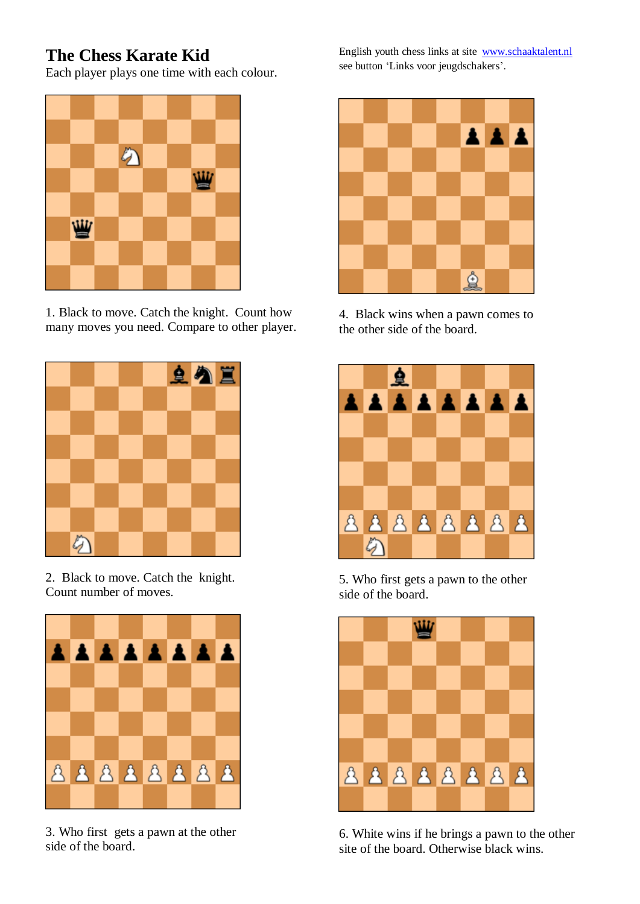## **The Chess Karate Kid**

Each player plays one time with each colour.



1. Black to move. Catch the knight. Count how many moves you need. Compare to other player.



2. Black to move. Catch the knight. Count number of moves.



3. Who first gets a pawn at the other side of the board.

English youth chess links at site [www.schaaktalent.nl](http://www.schaaktalent.nl/) see button 'Links voor jeugdschakers'.



4. Black wins when a pawn comes to the other side of the board.



5. Who first gets a pawn to the other side of the board.



6. White wins if he brings a pawn to the other site of the board. Otherwise black wins.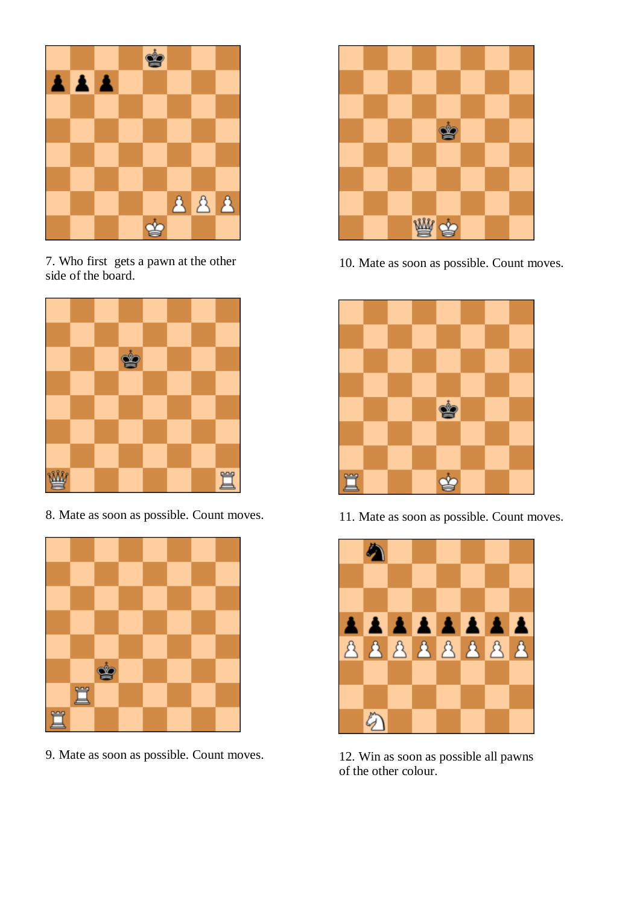

7. Who first gets a pawn at the other side of the board.



8. Mate as soon as possible. Count moves.



9. Mate as soon as possible. Count moves.



10. Mate as soon as possible. Count moves.



11. Mate as soon as possible. Count moves.



12. Win as soon as possible all pawns of the other colour.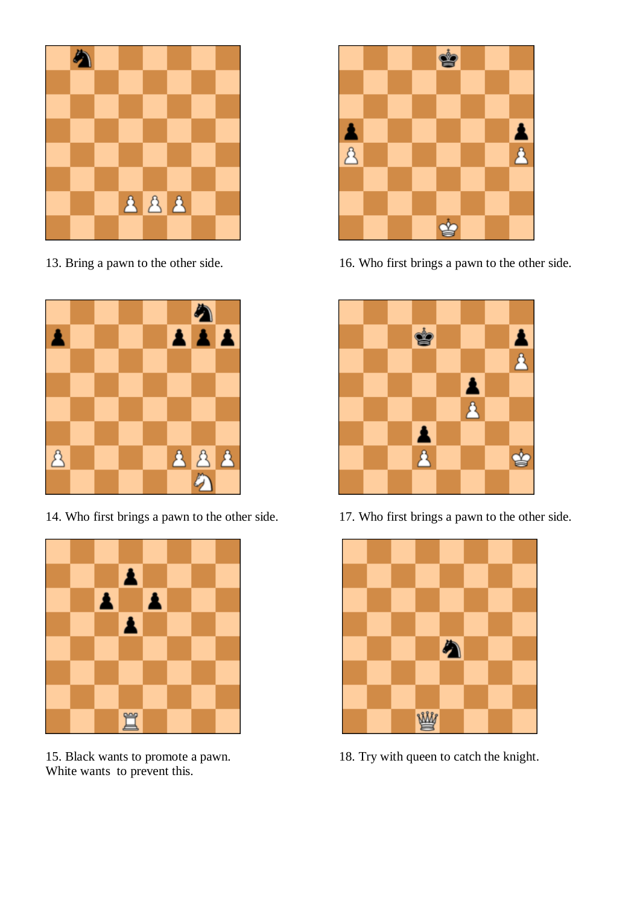

13. Bring a pawn to the other side.



14. Who first brings a pawn to the other side.



15. Black wants to promote a pawn. White wants to prevent this.



16. Who first brings a pawn to the other side.



17. Who first brings a pawn to the other side.



18. Try with queen to catch the knight.